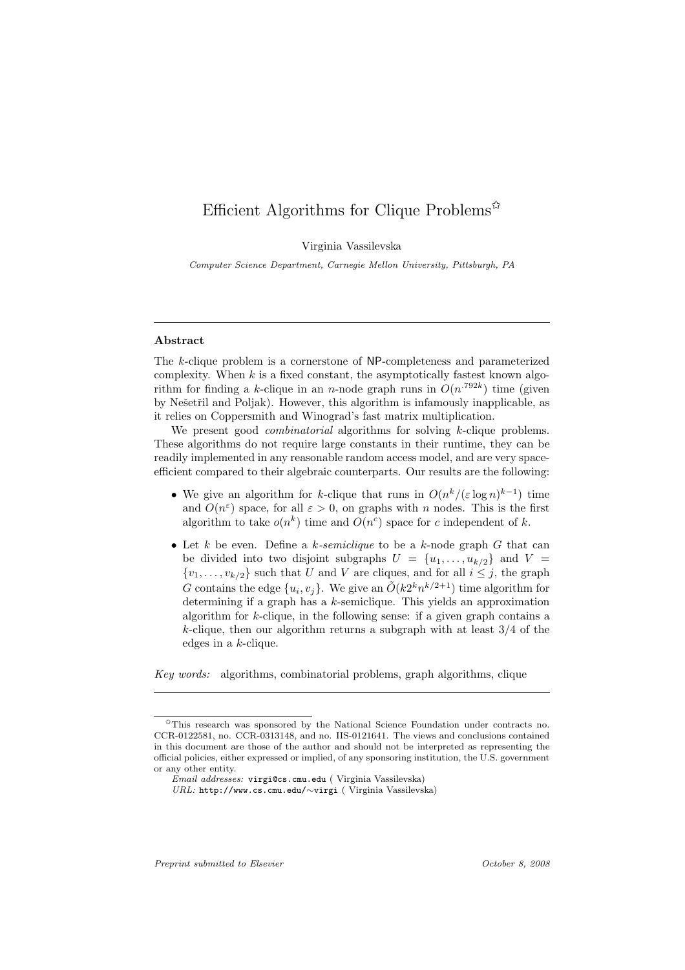## Efficient Algorithms for Clique Problems<sup> $\hat{\mathbf{x}}$ </sup>

Virginia Vassilevska

*Computer Science Department, Carnegie Mellon University, Pittsburgh, PA*

#### Abstract

The k-clique problem is a cornerstone of NP-completeness and parameterized complexity. When  $k$  is a fixed constant, the asymptotically fastest known algorithm for finding a k-clique in an n-node graph runs in  $O(n^{.792k})$  time (given by Nešetřil and Poljak). However, this algorithm is infamously inapplicable, as it relies on Coppersmith and Winograd's fast matrix multiplication.

We present good *combinatorial* algorithms for solving k-clique problems. These algorithms do not require large constants in their runtime, they can be readily implemented in any reasonable random access model, and are very spaceefficient compared to their algebraic counterparts. Our results are the following:

- We give an algorithm for k-clique that runs in  $O(n^k/(\varepsilon \log n)^{k-1})$  time and  $O(n^{\varepsilon})$  space, for all  $\varepsilon > 0$ , on graphs with n nodes. This is the first algorithm to take  $o(n^k)$  time and  $O(n^c)$  space for c independent of k.
- Let  $k$  be even. Define a  $k$ -semiclique to be a  $k$ -node graph  $G$  that can be divided into two disjoint subgraphs  $U = \{u_1, \ldots, u_{k/2}\}\$ and  $V =$  $\{v_1, \ldots, v_{k/2}\}\$  such that U and V are cliques, and for all  $i \leq j$ , the graph G contains the edge  $\{u_i, v_j\}$ . We give an  $\tilde{O}(k2^k n^{k/2+1})$  time algorithm for determining if a graph has a  $k$ -semiclique. This yields an approximation algorithm for  $k$ -clique, in the following sense: if a given graph contains a k-clique, then our algorithm returns a subgraph with at least  $3/4$  of the edges in a k-clique.

*Key words:* algorithms, combinatorial problems, graph algorithms, clique

*Preprint submitted to Elsevier October 8, 2008*

<sup>✩</sup>This research was sponsored by the National Science Foundation under contracts no. CCR-0122581, no. CCR-0313148, and no. IIS-0121641. The views and conclusions contained in this document are those of the author and should not be interpreted as representing the official policies, either expressed or implied, of any sponsoring institution, the U.S. government or any other entity.

*Email addresses:* virgi@cs.cmu.edu ( Virginia Vassilevska)

*URL:* http://www.cs.cmu.edu/∼virgi ( Virginia Vassilevska)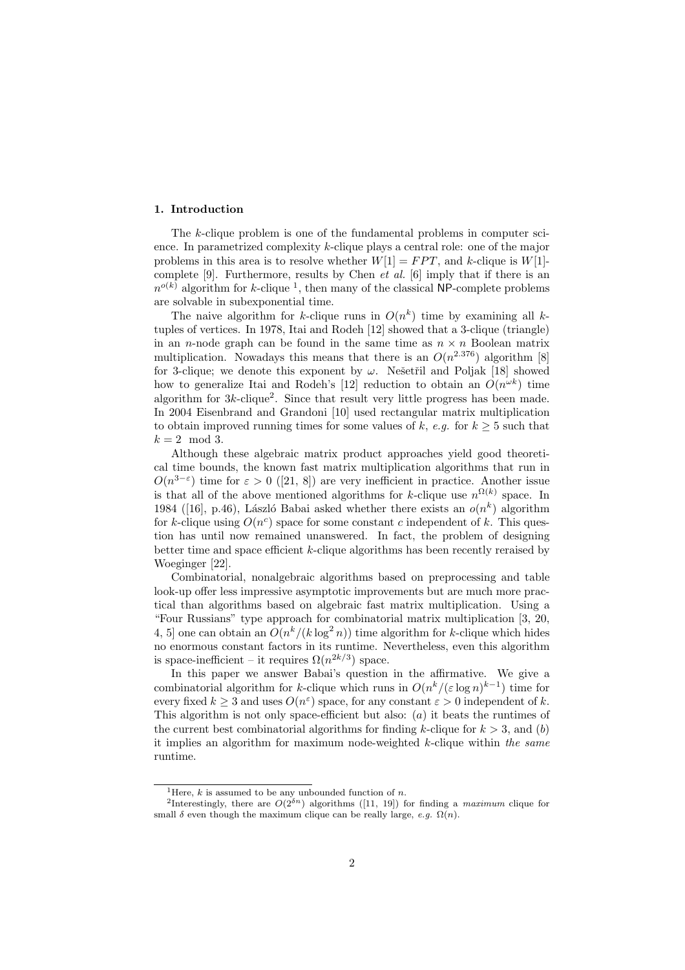#### 1. Introduction

The k-clique problem is one of the fundamental problems in computer science. In parametrized complexity k-clique plays a central role: one of the major problems in this area is to resolve whether  $W[1] = FPT$ , and k-clique is  $W[1]$ complete [9]. Furthermore, results by Chen *et al.* [6] imply that if there is an  $n^{o(k)}$  algorithm for k-clique<sup>1</sup>, then many of the classical NP-complete problems are solvable in subexponential time.

The naive algorithm for k-clique runs in  $O(n^k)$  time by examining all ktuples of vertices. In 1978, Itai and Rodeh [12] showed that a 3-clique (triangle) in an *n*-node graph can be found in the same time as  $n \times n$  Boolean matrix multiplication. Nowadays this means that there is an  $O(n^{2.376})$  algorithm [8] for 3-clique; we denote this exponent by  $\omega$ . Nešetřil and Poljak [18] showed how to generalize Itai and Rodeh's [12] reduction to obtain an  $O(n^{\omega k})$  time algorithm for 3k-clique<sup>2</sup> . Since that result very little progress has been made. In 2004 Eisenbrand and Grandoni [10] used rectangular matrix multiplication to obtain improved running times for some values of k,  $e,q$ . for  $k \geq 5$  such that  $k = 2 \mod 3$ .

Although these algebraic matrix product approaches yield good theoretical time bounds, the known fast matrix multiplication algorithms that run in  $O(n^{3-\epsilon})$  time for  $\epsilon > 0$  ([21, 8]) are very inefficient in practice. Another issue is that all of the above mentioned algorithms for k-clique use  $n^{\Omega(k)}$  space. In 1984 ([16], p.46), László Babai asked whether there exists an  $o(n^k)$  algorithm for k-clique using  $O(n^c)$  space for some constant c independent of k. This question has until now remained unanswered. In fact, the problem of designing better time and space efficient k-clique algorithms has been recently reraised by Woeginger [22].

Combinatorial, nonalgebraic algorithms based on preprocessing and table look-up offer less impressive asymptotic improvements but are much more practical than algorithms based on algebraic fast matrix multiplication. Using a "Four Russians" type approach for combinatorial matrix multiplication [3, 20, 4, 5] one can obtain an  $O(n^k/(k \log^2 n))$  time algorithm for k-clique which hides no enormous constant factors in its runtime. Nevertheless, even this algorithm is space-inefficient – it requires  $\Omega(n^{2k/3})$  space.

In this paper we answer Babai's question in the affirmative. We give a combinatorial algorithm for k-clique which runs in  $O(n^k/(\varepsilon \log n)^{k-1})$  time for every fixed  $k \geq 3$  and uses  $O(n^{\varepsilon})$  space, for any constant  $\varepsilon > 0$  independent of k. This algorithm is not only space-efficient but also: (a) it beats the runtimes of the current best combinatorial algorithms for finding k-clique for  $k > 3$ , and (b) it implies an algorithm for maximum node-weighted k-clique within *the same* runtime.

<sup>&</sup>lt;sup>1</sup>Here, *k* is assumed to be any unbounded function of *n*.

<sup>&</sup>lt;sup>2</sup>Interestingly, there are  $O(2^{\delta n})$  algorithms ([11, 19]) for finding a *maximum* clique for small  $\delta$  even though the maximum clique can be really large, *e.g.*  $\Omega(n)$ .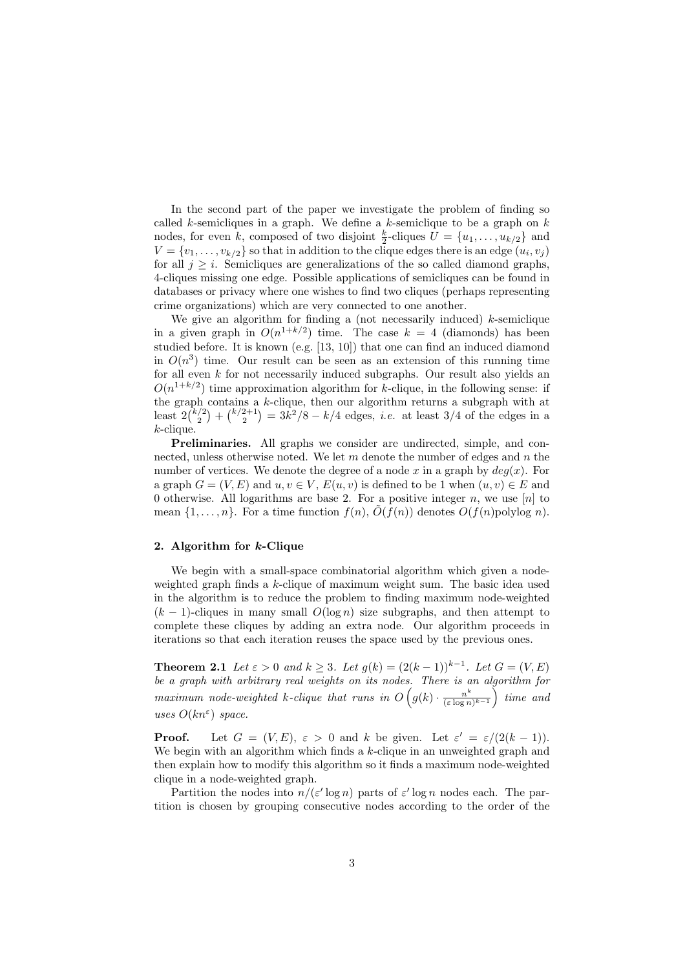In the second part of the paper we investigate the problem of finding so called k-semicliques in a graph. We define a k-semiclique to be a graph on  $k$ nodes, for even k, composed of two disjoint  $\frac{k}{2}$ -cliques  $U = \{u_1, \ldots, u_{k/2}\}\$ and  $V = \{v_1, \ldots, v_{k/2}\}\$  so that in addition to the clique edges there is an edge  $(u_i, v_j)$ for all  $j \geq i$ . Semicliques are generalizations of the so called diamond graphs, 4-cliques missing one edge. Possible applications of semicliques can be found in databases or privacy where one wishes to find two cliques (perhaps representing crime organizations) which are very connected to one another.

We give an algorithm for finding a (not necessarily induced)  $k$ -semiclique in a given graph in  $O(n^{1+k/2})$  time. The case  $k = 4$  (diamonds) has been studied before. It is known (e.g. [13, 10]) that one can find an induced diamond in  $O(n^3)$  time. Our result can be seen as an extension of this running time for all even  $k$  for not necessarily induced subgraphs. Our result also yields an  $O(n^{1+k/2})$  time approximation algorithm for k-clique, in the following sense: if the graph contains a k-clique, then our algorithm returns a subgraph with at least  $2\binom{k/2}{2} + \binom{k/2+1}{2} = 3k^2/8 - k/4$  edges, *i.e.* at least 3/4 of the edges in a  $k$ -clique.

Preliminaries. All graphs we consider are undirected, simple, and connected, unless otherwise noted. We let  $m$  denote the number of edges and  $n$  the number of vertices. We denote the degree of a node x in a graph by  $deg(x)$ . For a graph  $G = (V, E)$  and  $u, v \in V$ ,  $E(u, v)$  is defined to be 1 when  $(u, v) \in E$  and 0 otherwise. All logarithms are base 2. For a positive integer n, we use  $[n]$  to mean  $\{1, \ldots, n\}$ . For a time function  $f(n)$ ,  $\tilde{O}(f(n))$  denotes  $O(f(n)$ polylog n).

#### 2. Algorithm for k-Clique

We begin with a small-space combinatorial algorithm which given a nodeweighted graph finds a k-clique of maximum weight sum. The basic idea used in the algorithm is to reduce the problem to finding maximum node-weighted  $(k-1)$ -cliques in many small  $O(\log n)$  size subgraphs, and then attempt to complete these cliques by adding an extra node. Our algorithm proceeds in iterations so that each iteration reuses the space used by the previous ones.

**Theorem 2.1** *Let*  $\varepsilon > 0$  *and*  $k \geq 3$ *. Let*  $g(k) = (2(k-1))^{k-1}$ *. Let*  $G = (V, E)$ *be a graph with arbitrary real weights on its nodes. There is an algorithm for* maximum node-weighted k-clique that runs in  $O(g(k) \cdot \frac{n^k}{(\varepsilon \log n}))$  $\frac{n^k}{(\varepsilon \log n)^{k-1}}$  *time and uses*  $O(kn^{\varepsilon})$  *space.* 

**Proof.** Let  $G = (V, E)$ ,  $\varepsilon > 0$  and k be given. Let  $\varepsilon' = \varepsilon/(2(k-1))$ . We begin with an algorithm which finds a  $k$ -clique in an unweighted graph and then explain how to modify this algorithm so it finds a maximum node-weighted clique in a node-weighted graph.

Partition the nodes into  $n/(\varepsilon' \log n)$  parts of  $\varepsilon' \log n$  nodes each. The partition is chosen by grouping consecutive nodes according to the order of the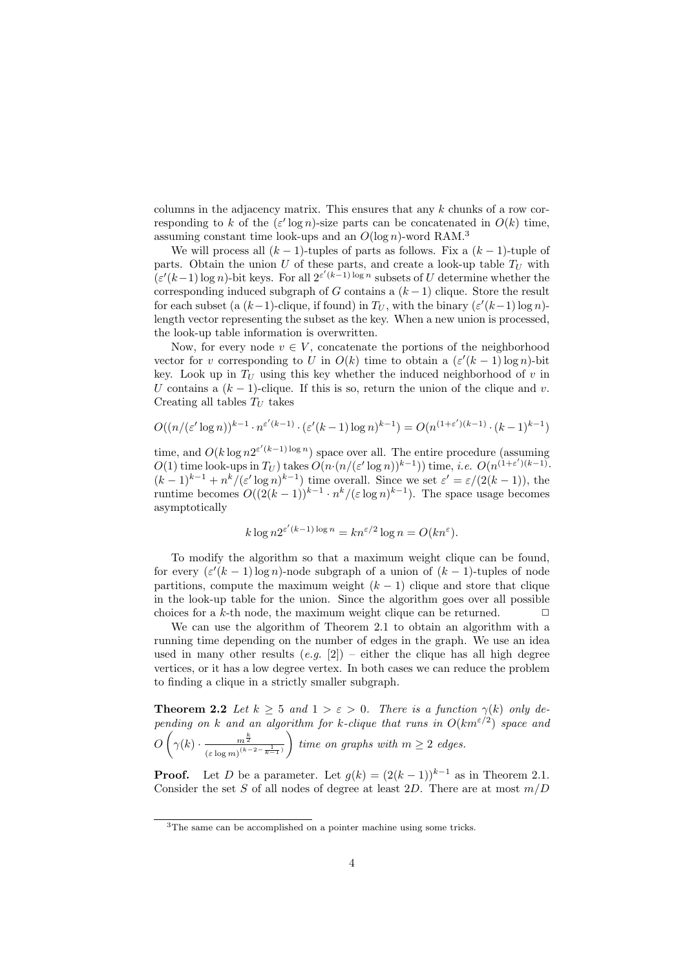columns in the adjacency matrix. This ensures that any  $k$  chunks of a row corresponding to k of the  $(\varepsilon' \log n)$ -size parts can be concatenated in  $O(k)$  time, assuming constant time look-ups and an  $O(\log n)$ -word RAM.<sup>3</sup>

We will process all  $(k - 1)$ -tuples of parts as follows. Fix a  $(k - 1)$ -tuple of parts. Obtain the union U of these parts, and create a look-up table  $T_U$  with  $(\varepsilon'(k-1)\log n)$ -bit keys. For all  $2^{\varepsilon'(k-1)\log n}$  subsets of U determine whether the corresponding induced subgraph of G contains a  $(k-1)$  clique. Store the result for each subset (a  $(k-1)$ -clique, if found) in  $T_U$ , with the binary  $(\varepsilon'(k-1) \log n)$ length vector representing the subset as the key. When a new union is processed, the look-up table information is overwritten.

Now, for every node  $v \in V$ , concatenate the portions of the neighborhood vector for v corresponding to U in  $O(k)$  time to obtain a  $(\varepsilon'(k-1)\log n)$ -bit key. Look up in  $T_U$  using this key whether the induced neighborhood of v in U contains a  $(k-1)$ -clique. If this is so, return the union of the clique and v. Creating all tables  $T_U$  takes

$$
O((n/(\varepsilon' \log n))^{k-1} \cdot n^{\varepsilon'(k-1)} \cdot (\varepsilon'(k-1) \log n)^{k-1}) = O(n^{(1+\varepsilon')(k-1)} \cdot (k-1)^{k-1})
$$

time, and  $O(k \log n 2^{\varepsilon'(k-1) \log n})$  space over all. The entire procedure (assuming  $O(1)$  time look-ups in  $T_U$ ) takes  $O(n \cdot (n/(\varepsilon' \log n))^{k-1})$  time, *i.e.*  $O(n^{(1+\varepsilon')(k-1)})$ .  $(k-1)^{k-1} + n^k/(\varepsilon' \log n)^{k-1}$  time overall. Since we set  $\varepsilon' = \varepsilon/(2(k-1))$ , the runtime becomes  $O((2(k-1))^{k-1} \cdot n^k/(\varepsilon \log n)^{k-1})$ . The space usage becomes asymptotically

$$
k \log n 2^{\varepsilon'(k-1)\log n} = kn^{\varepsilon/2} \log n = O(kn^{\varepsilon}).
$$

To modify the algorithm so that a maximum weight clique can be found, for every  $(\varepsilon'(k-1)\log n)$ -node subgraph of a union of  $(k-1)$ -tuples of node partitions, compute the maximum weight  $(k - 1)$  clique and store that clique in the look-up table for the union. Since the algorithm goes over all possible choices for a k-th node, the maximum weight clique can be returned.  $\Box$ 

We can use the algorithm of Theorem 2.1 to obtain an algorithm with a running time depending on the number of edges in the graph. We use an idea used in many other results  $(e.g. [2])$  – either the clique has all high degree vertices, or it has a low degree vertex. In both cases we can reduce the problem to finding a clique in a strictly smaller subgraph.

**Theorem 2.2** *Let*  $k \geq 5$  *and*  $1 > \varepsilon > 0$ *. There is a function*  $\gamma(k)$  *only depending on* k and an algorithm for k-clique that runs in  $O(km^{\epsilon/2})$  space and  $O\left(\gamma(k)\cdot \frac{m^{\frac{k}{2}}}{\left(\varepsilon\log m\right)^{(k-1)}}\right)$  $\frac{1}{(\varepsilon \log m)^{(k-2-\frac{1}{k-1})}}$ *time on graphs with*  $m \geq 2$  *edges.* 

**Proof.** Let D be a parameter. Let  $q(k) = (2(k-1))^{k-1}$  as in Theorem 2.1. Consider the set S of all nodes of degree at least 2D. There are at most  $m/D$ 

<sup>3</sup>The same can be accomplished on a pointer machine using some tricks.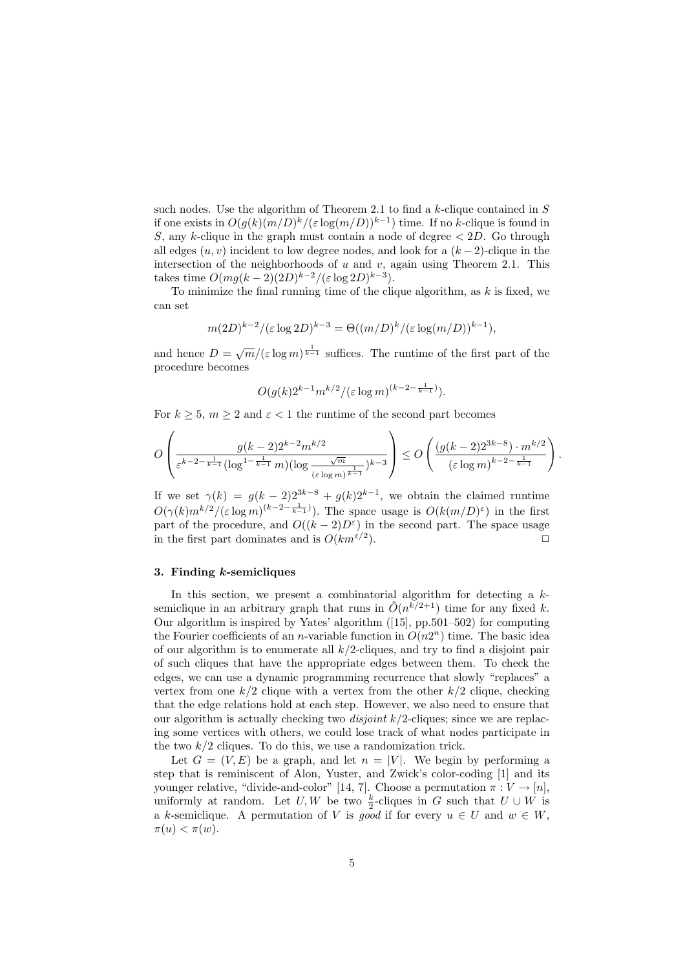such nodes. Use the algorithm of Theorem 2.1 to find a k-clique contained in  $S$ if one exists in  $O(g(k)(m/D)^k/(\varepsilon \log(m/D))^{k-1})$  time. If no k-clique is found in S, any k-clique in the graph must contain a node of degree  $\lt 2D$ . Go through all edges  $(u, v)$  incident to low degree nodes, and look for a  $(k-2)$ -clique in the intersection of the neighborhoods of  $u$  and  $v$ , again using Theorem 2.1. This takes time  $O(mg(k-2)(2D)^{k-2}/(\varepsilon \log 2D)^{k-3}).$ 

To minimize the final running time of the clique algorithm, as  $k$  is fixed, we can set

$$
m(2D)^{k-2}/(\varepsilon \log 2D)^{k-3} = \Theta((m/D)^k/(\varepsilon \log (m/D))^{k-1}),
$$

and hence  $D = \sqrt{m}/(\varepsilon \log m)^{\frac{1}{k-1}}$  suffices. The runtime of the first part of the procedure becomes

$$
O(g(k)2^{k-1}m^{k/2}/(\varepsilon\log m)^{(k-2-\frac{1}{k-1})}).
$$

For  $k \geq 5$ ,  $m \geq 2$  and  $\varepsilon < 1$  the runtime of the second part becomes

$$
O\left(\frac{g(k-2)2^{k-2}m^{k/2}}{\varepsilon^{k-2-\frac{1}{k-1}}(\log^{1-\frac{1}{k-1}}m)(\log \frac{\sqrt{m}}{(\varepsilon \log m)^{\frac{1}{k-1}}})^{k-3}}\right) \leq O\left(\frac{(g(k-2)2^{3k-8}) \cdot m^{k/2}}{(\varepsilon \log m)^{k-2-\frac{1}{k-1}}}\right).
$$

If we set  $\gamma(k) = g(k-2)2^{3k-8} + g(k)2^{k-1}$ , we obtain the claimed runtime  $O(\gamma(k)m^{k/2}/(\varepsilon \log m)^{(k-2-\frac{1}{k-1})})$ . The space usage is  $O(k(m/D)^{\varepsilon})$  in the first part of the procedure, and  $O((k-2)D^{\epsilon})$  in the second part. The space usage in the first part dominates and is  $O(km^{\epsilon/2})$ . ).  $\Box$ 

### 3. Finding  $k$ -semicliques

In this section, we present a combinatorial algorithm for detecting a  $k$ semiclique in an arbitrary graph that runs in  $\tilde{O}(n^{\tilde{k}/2+1})$  time for any fixed k. Our algorithm is inspired by Yates' algorithm ([15], pp.501–502) for computing the Fourier coefficients of an *n*-variable function in  $O(n2^n)$  time. The basic idea of our algorithm is to enumerate all  $k/2$ -cliques, and try to find a disjoint pair of such cliques that have the appropriate edges between them. To check the edges, we can use a dynamic programming recurrence that slowly "replaces" a vertex from one  $k/2$  clique with a vertex from the other  $k/2$  clique, checking that the edge relations hold at each step. However, we also need to ensure that our algorithm is actually checking two *disjoint* k/2-cliques; since we are replacing some vertices with others, we could lose track of what nodes participate in the two  $k/2$  cliques. To do this, we use a randomization trick.

Let  $G = (V, E)$  be a graph, and let  $n = |V|$ . We begin by performing a step that is reminiscent of Alon, Yuster, and Zwick's color-coding [1] and its younger relative, "divide-and-color" [14, 7]. Choose a permutation  $\pi: V \to [n]$ , uniformly at random. Let U, W be two  $\frac{k}{2}$ -cliques in G such that  $U \cup W$  is a k-semiclique. A permutation of V is good if for every  $u \in U$  and  $w \in W$ ,  $\pi(u) < \pi(w)$ .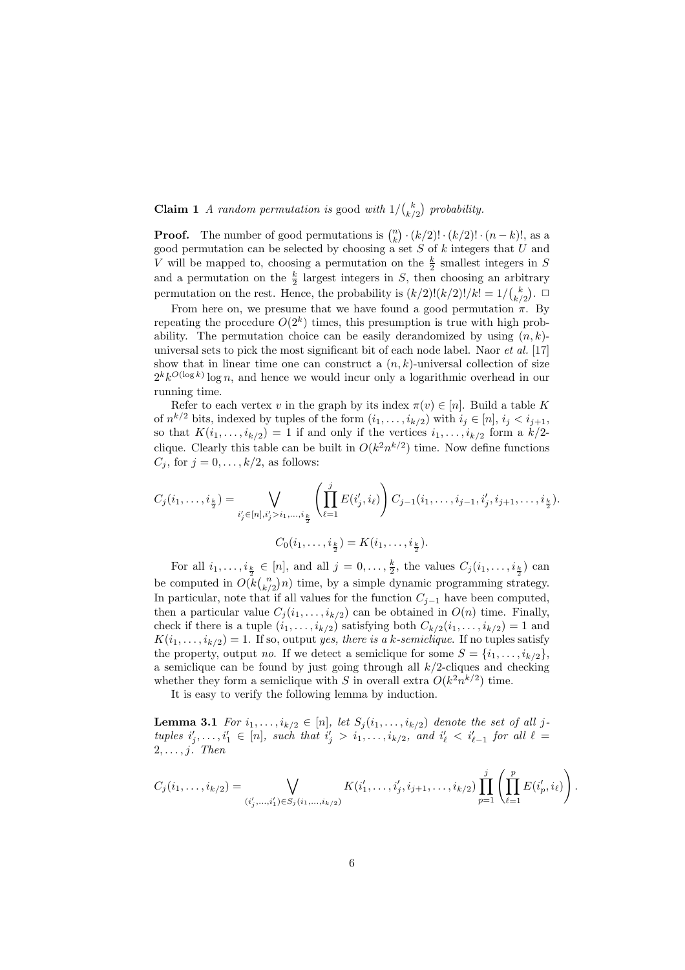# **Claim 1** *A random permutation is* good *with*  $1/\binom{k}{k/2}$  probability.

**Proof.** The number of good permutations is  $\binom{n}{k} \cdot (k/2)! \cdot (k/2)! \cdot (n-k)!$ , as a good permutation can be selected by choosing a set  $S$  of  $k$  integers that  $U$  and V will be mapped to, choosing a permutation on the  $\frac{k}{2}$  smallest integers in S and a permutation on the  $\frac{k}{2}$  largest integers in S, then choosing an arbitrary permutation on the rest. Hence, the probability is  $(k/2)!(k/2)!/k! = 1/{k \choose k/2}$ .

From here on, we presume that we have found a good permutation  $\pi$ . By repeating the procedure  $O(2^k)$  times, this presumption is true with high probability. The permutation choice can be easily derandomized by using  $(n, k)$ universal sets to pick the most significant bit of each node label. Naor *et al.* [17] show that in linear time one can construct a  $(n, k)$ -universal collection of size  $2^k k^{O(\log k)} \log n$ , and hence we would incur only a logarithmic overhead in our running time.

Refer to each vertex v in the graph by its index  $\pi(v) \in [n]$ . Build a table K of  $n^{k/2}$  bits, indexed by tuples of the form  $(i_1, \ldots, i_{k/2})$  with  $i_j \in [n]$ ,  $i_j < i_{j+1}$ , so that  $K(i_1, \ldots, i_{k/2}) = 1$  if and only if the vertices  $i_1, \ldots, i_{k/2}$  form a  $k/2$ clique. Clearly this table can be built in  $O(k^2 n^{k/2})$  time. Now define functions  $C_j$ , for  $j = 0, \ldots, k/2$ , as follows:

$$
C_j(i_1,\ldots,i_{\frac{k}{2}}) = \bigvee_{i'_j \in [n], i'_j > i_1,\ldots,i_{\frac{k}{2}}} \left( \prod_{\ell=1}^j E(i'_j,i_\ell) \right) C_{j-1}(i_1,\ldots,i_{j-1},i'_j,i_{j+1},\ldots,i_{\frac{k}{2}}).
$$
  

$$
C_0(i_1,\ldots,i_{\frac{k}{2}}) = K(i_1,\ldots,i_{\frac{k}{2}}).
$$

For all  $i_1, \ldots, i_{\frac{k}{2}} \in [n]$ , and all  $j = 0, \ldots, \frac{k}{2}$ , the values  $C_j(i_1, \ldots, i_{\frac{k}{2}})$  can be computed in  $O(k\binom{n}{k/2}n)$  time, by a simple dynamic programming strategy. In particular, note that if all values for the function  $C_{j-1}$  have been computed, then a particular value  $C_i (i_1, \ldots, i_{k/2})$  can be obtained in  $O(n)$  time. Finally, check if there is a tuple  $(i_1, \ldots, i_{k/2})$  satisfying both  $C_{k/2}(i_1, \ldots, i_{k/2}) = 1$  and  $K(i_1, \ldots, i_{k/2}) = 1$ . If so, output *yes, there is a k-semiclique*. If no tuples satisfy the property, output *no*. If we detect a semiclique for some  $S = \{i_1, \ldots, i_{k/2}\},\$ a semiclique can be found by just going through all  $k/2$ -cliques and checking whether they form a semiclique with S in overall extra  $O(k^2 n^{k/2})$  time.

It is easy to verify the following lemma by induction.

**Lemma 3.1** *For*  $i_1, \ldots, i_{k/2} \in [n]$ , *let*  $S_j(i_1, \ldots, i_{k/2})$  *denote the set of all j* $tuples \, i'_j, \ldots, i'_1 \in [n], \, such \, that \, i'_j > i_1, \ldots, i_{k/2}, \, and \, i'_\ell < i'_{\ell-1} \, for \, all \, \ell = 0.$ 2, . . . , j*. Then*

$$
C_j(i_1,\ldots,i_{k/2}) = \bigvee_{(i'_j,\ldots,i'_1)\in S_j(i_1,\ldots,i_{k/2})} K(i'_1,\ldots,i'_j,i_{j+1},\ldots,i_{k/2}) \prod_{p=1}^j \left( \prod_{\ell=1}^p E(i'_p,i_\ell) \right)
$$

.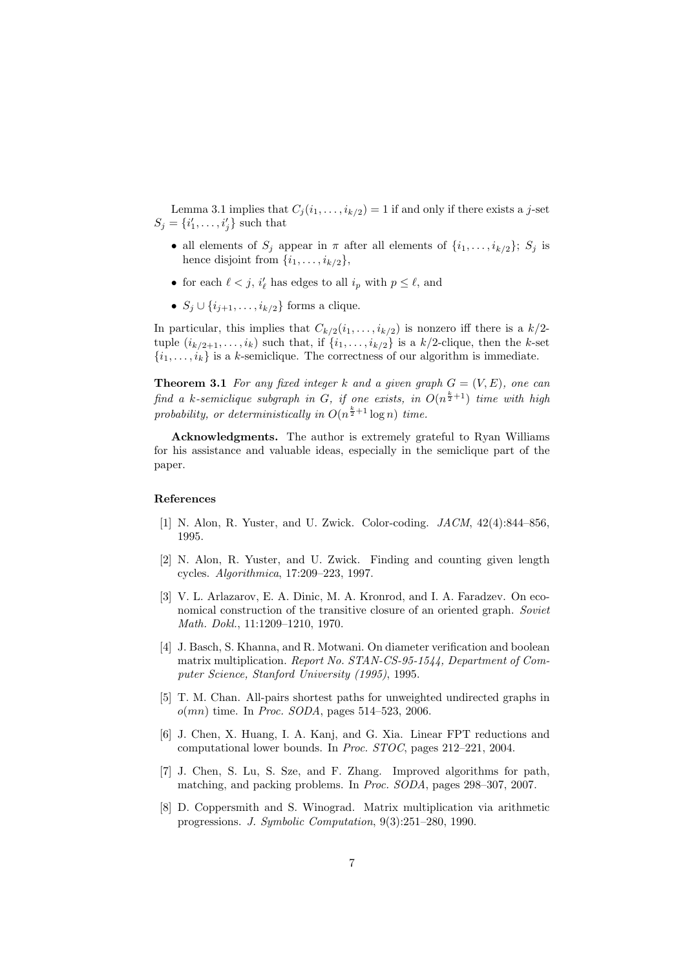Lemma 3.1 implies that  $C_i(i_1,\ldots,i_{k/2})=1$  if and only if there exists a j-set  $S_j = \{i'_1, \ldots, i'_j\}$  such that

- all elements of  $S_i$  appear in  $\pi$  after all elements of  $\{i_1, \ldots, i_{k/2}\}; S_i$  is hence disjoint from  $\{i_1, \ldots, i_{k/2}\},\$
- for each  $\ell < j$ ,  $i'_{\ell}$  has edges to all  $i_p$  with  $p \leq \ell$ , and
- $S_j \cup \{i_{j+1}, \ldots, i_{k/2}\}\)$  forms a clique.

In particular, this implies that  $C_{k/2}(i_1,\ldots,i_{k/2})$  is nonzero iff there is a  $k/2$ tuple  $(i_{k/2+1}, \ldots, i_k)$  such that, if  $\{i_1, \ldots, i_{k/2}\}$  is a  $k/2$ -clique, then the k-set  $\{i_1, \ldots, i_k\}$  is a k-semiclique. The correctness of our algorithm is immediate.

**Theorem 3.1** *For any fixed integer* k and a given graph  $G = (V, E)$ *, one can*  $f$ *ind a k-semiclique subgraph in G, if one exists, in*  $O(n^{\frac{k}{2}+1})$  *time with high* probability, or deterministically in  $O(n^{\frac{k}{2}+1} \log n)$  time.

Acknowledgments. The author is extremely grateful to Ryan Williams for his assistance and valuable ideas, especially in the semiclique part of the paper.

#### References

- [1] N. Alon, R. Yuster, and U. Zwick. Color-coding. *JACM*, 42(4):844–856, 1995.
- [2] N. Alon, R. Yuster, and U. Zwick. Finding and counting given length cycles. *Algorithmica*, 17:209–223, 1997.
- [3] V. L. Arlazarov, E. A. Dinic, M. A. Kronrod, and I. A. Faradzev. On economical construction of the transitive closure of an oriented graph. *Soviet Math. Dokl.*, 11:1209–1210, 1970.
- [4] J. Basch, S. Khanna, and R. Motwani. On diameter verification and boolean matrix multiplication. *Report No. STAN-CS-95-1544, Department of Computer Science, Stanford University (1995)*, 1995.
- [5] T. M. Chan. All-pairs shortest paths for unweighted undirected graphs in o(mn) time. In *Proc. SODA*, pages 514–523, 2006.
- [6] J. Chen, X. Huang, I. A. Kanj, and G. Xia. Linear FPT reductions and computational lower bounds. In *Proc. STOC*, pages 212–221, 2004.
- [7] J. Chen, S. Lu, S. Sze, and F. Zhang. Improved algorithms for path, matching, and packing problems. In *Proc. SODA*, pages 298–307, 2007.
- [8] D. Coppersmith and S. Winograd. Matrix multiplication via arithmetic progressions. *J. Symbolic Computation*, 9(3):251–280, 1990.